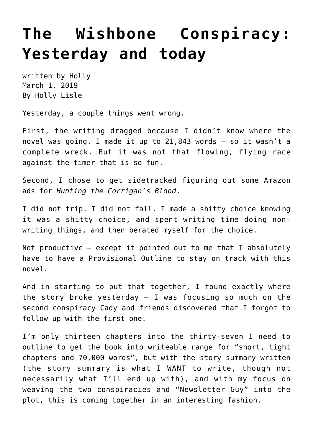## **[The Wishbone Conspiracy:](https://hollylisle.com/the-wishbone-conspiracy-yesterday-and-today/) [Yesterday and today](https://hollylisle.com/the-wishbone-conspiracy-yesterday-and-today/)**

written by Holly March 1, 2019 [By Holly Lisle](https://hollylisle.com)

Yesterday, a couple things went wrong.

First, the writing dragged because I didn't know where the novel was going. I made it up to 21,843 words — so it wasn't a complete wreck. But it was not that flowing, flying race against the timer that is so fun.

Second, I chose to get sidetracked figuring out some Amazon ads for *Hunting the Corrigan's Blood*.

I did not trip. I did not fall. I made a shitty choice knowing it was a shitty choice, and spent writing time doing nonwriting things, and then berated myself for the choice.

Not productive  $-$  except it pointed out to me that I absolutely have to have a Provisional Outline to stay on track with this novel.

And in starting to put that together, I found exactly where the story broke yesterday  $-$  I was focusing so much on the second conspiracy Cady and friends discovered that I forgot to follow up with the first one.

I'm only thirteen chapters into the thirty-seven I need to outline to get the book into writeable range for "short, tight chapters and 70,000 words", but with the story summary written (the story summary is what I WANT to write, though not necessarily what I'll end up with), and with my focus on weaving the two conspiracies and "Newsletter Guy" into the plot, this is coming together in an interesting fashion.